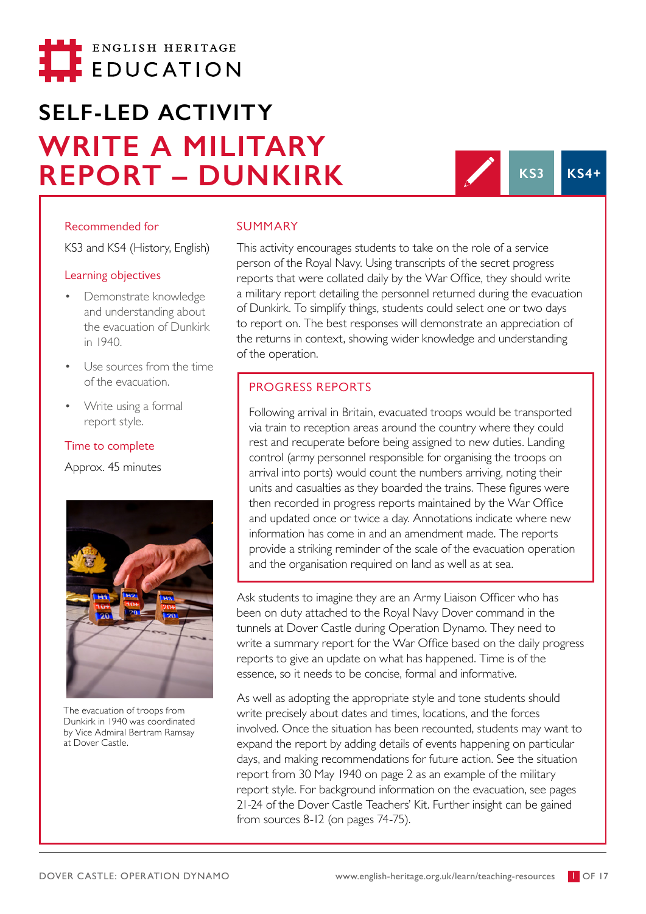

# **SELF-LED ACTIVITY WRITE A MILITARY REPORT – DUNKIRK** KS3 KS4+

#### Recommended for

KS3 and KS4 (History, English)

#### Learning objectives

- Demonstrate knowledge and understanding about the evacuation of Dunkirk in 1940.
- Use sources from the time of the evacuation.
- Write using a formal report style.

#### Time to complete

Approx. 45 minutes



The evacuation of troops from Dunkirk in 1940 was coordinated by Vice Admiral Bertram Ramsay at Dover Castle.

#### SUMMARY

This activity encourages students to take on the role of a service person of the Royal Navy. Using transcripts of the secret progress reports that were collated daily by the War Office, they should write a military report detailing the personnel returned during the evacuation of Dunkirk. To simplify things, students could select one or two days to report on. The best responses will demonstrate an appreciation of the returns in context, showing wider knowledge and understanding of the operation.

# PROGRESS REPORTS

Following arrival in Britain, evacuated troops would be transported via train to reception areas around the country where they could rest and recuperate before being assigned to new duties. Landing control (army personnel responsible for organising the troops on arrival into ports) would count the numbers arriving, noting their units and casualties as they boarded the trains. These figures were then recorded in progress reports maintained by the War Office and updated once or twice a day. Annotations indicate where new information has come in and an amendment made. The reports provide a striking reminder of the scale of the evacuation operation and the organisation required on land as well as at sea.

Ask students to imagine they are an Army Liaison Officer who has been on duty attached to the Royal Navy Dover command in the tunnels at Dover Castle during Operation Dynamo. They need to write a summary report for the War Office based on the daily progress reports to give an update on what has happened. Time is of the essence, so it needs to be concise, formal and informative.

As well as adopting the appropriate style and tone students should write precisely about dates and times, locations, and the forces involved. Once the situation has been recounted, students may want to expand the report by adding details of events happening on particular days, and making recommendations for future action. See the situation report from 30 May 1940 on page 2 as an example of the military report style. For background information on the evacuation, see pages 21-24 of the [Dover Castle Teachers' Kit.](https://www.english-heritage.org.uk/siteassets/home/visit/places-to-visit/dover-castle/schools/dover_castle_teachers_kit_ks1-ks4.pdf) Further insight can be gained from sources 8-12 (on pages 74-75).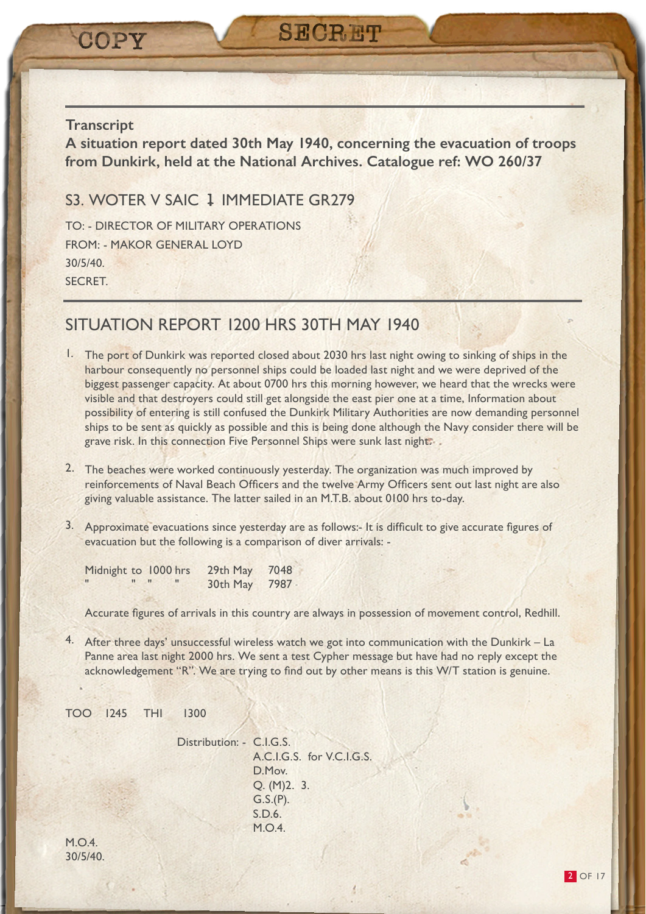COPY

**A situation report dated 30th May 1940, concerning the evacuation of troops from Dunkirk, held at the National Archives. Catalogue ref: WO 260/37**

**SECRET** 

# S3. WOTER V SAIC 1 IMMEDIATE GR279

TO: - DIRECTOR OF MILITARY OPERATIONS FROM: - MAKOR GENERAL LOYD 30/5/40. SECRET.

# SITUATION REPORT 1200 HRS 30TH MAY 1940

- 1. The port of Dunkirk was reported closed about 2030 hrs last night owing to sinking of ships in the harbour consequently no personnel ships could be loaded last night and we were deprived of the biggest passenger capacity. At about 0700 hrs this morning however, we heard that the wrecks were visible and that destroyers could still get alongside the east pier one at a time, Information about possibility of entering is still confused the Dunkirk Military Authorities are now demanding personnel ships to be sent as quickly as possible and this is being done although the Navy consider there will be grave risk. In this connection Five Personnel Ships were sunk last night.
- 2. The beaches were worked continuously yesterday. The organization was much improved by reinforcements of Naval Beach Officers and the twelve Army Officers sent out last night are also giving valuable assistance. The latter sailed in an M.T.B. about 0100 hrs to-day.
- 3. Approximate evacuations since yesterday are as follows:- It is difficult to give accurate figures of evacuation but the following is a comparison of diver arrivals: -

| Midnight to 1000 hrs |  | 29th May | 7048 |
|----------------------|--|----------|------|
|                      |  | 30th May | 7987 |

Accurate figures of arrivals in this country are always in possession of movement control, Redhill.

4. After three days' unsuccessful wireless watch we got into communication with the Dunkirk – La Panne area last night 2000 hrs. We sent a test Cypher message but have had no reply except the acknowledgement "R". We are trying to find out by other means is this W/T station is genuine.

TOO 1245 THI 1300

Distribution: - C.I.G.S. A.C.I.G.S. for V.C.I.G.S. D.Mov. Q. (M)2. 3. G.S.(P). S.D.6. M.O.4.

M.O.4. 30/5/40.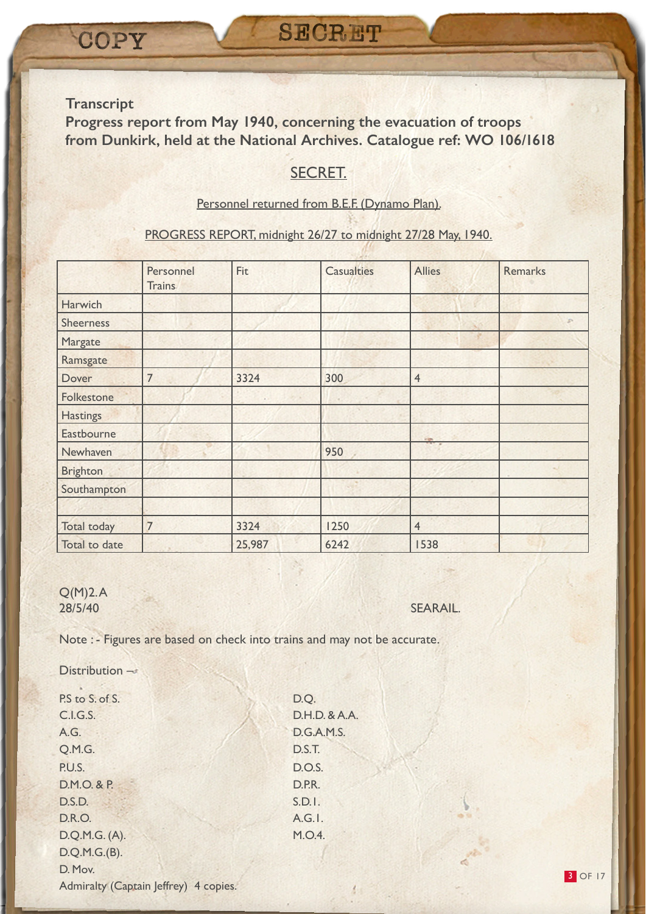**Progress report from May 1940, concerning the evacuation of troops from Dunkirk, held at the National Archives. Catalogue ref: WO 106/1618**

# SECRET.

#### Personnel returned from B.E.F. (Dynamo Plan).

#### PROGRESS REPORT, midnight 26/27 to midnight 27/28 May, 1940.

|                  | Personnel<br><b>Trains</b> | Fit    | <b>Casualties</b> | <b>Allies</b>  | Remarks       |
|------------------|----------------------------|--------|-------------------|----------------|---------------|
| Harwich          |                            |        |                   |                |               |
| <b>Sheerness</b> |                            |        |                   |                | $\mathcal{D}$ |
| Margate          |                            |        |                   |                |               |
| Ramsgate         |                            |        |                   |                |               |
| Dover            | $\overline{7}$             | 3324   | 300               | $\overline{4}$ |               |
| Folkestone       |                            |        |                   |                |               |
| <b>Hastings</b>  |                            |        |                   |                |               |
| Eastbourne       |                            |        |                   | <b>Sign</b>    |               |
| Newhaven         |                            |        | 950               |                |               |
| <b>Brighton</b>  |                            |        |                   |                |               |
| Southampton      |                            |        |                   |                |               |
|                  |                            |        |                   |                |               |
| Total today      | $\overline{7}$             | 3324   | 1250              | $\overline{4}$ |               |
| Total to date    |                            | 25,987 | 6242              | 1538           |               |

 $Q(M)2.A$ 

28/5/40 SEARAIL.

Note : - Figures are based on check into trains and may not be accurate.

Distribution  $-\pi$ 

P.S to S. of S. D.Q. C.I.G.S. D.H.D. & A.A. A.G. D.G.A.M.S. Q.M.G. D.S.T. P.U.S. D.O.S. D.M.O. & P. D.P.R. D.S.D. S.D.I. D.R.O. A.G.I. D.Q.M.G. (A). M.O.4. D.Q.M.G.(B). D. Mov. Admiralty (Captain Jeffrey) 4 copies.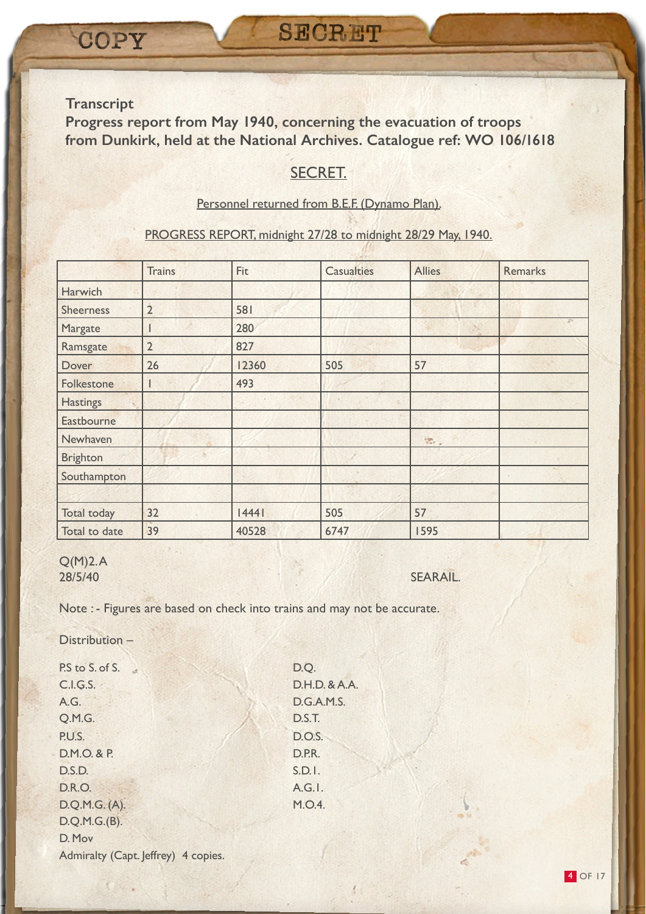**Progress report from May 1940, concerning the evacuation of troops from Dunkirk, held at the National Archives. Catalogue ref: WO 106/1618**

# SECRET.

#### Personnel returned from B.E.F. (Dynamo Plan).

#### PROGRESS REPORT, midnight 27/28 to midnight 28/29 May, 1940.

|                  | <b>Trains</b>  | Fit   | <b>Casualties</b> | <b>Allies</b> | Remarks |
|------------------|----------------|-------|-------------------|---------------|---------|
| Harwich          |                |       |                   |               |         |
| <b>Sheerness</b> | $\overline{2}$ | 581   |                   |               |         |
| Margate          |                | 280   |                   |               |         |
| Ramsgate         | $\overline{2}$ | 827   |                   |               |         |
| Dover            | 26             | 12360 | 505               | 57            |         |
| Folkestone       |                | 493   |                   |               |         |
| <b>Hastings</b>  |                |       |                   |               |         |
| Eastbourne       |                |       |                   |               |         |
| Newhaven         |                |       |                   | <b>第二</b>     |         |
| <b>Brighton</b>  |                |       |                   |               |         |
| Southampton      |                |       |                   |               |         |
|                  |                |       |                   |               |         |
| Total today      | 32             | 14441 | 505               | 57            |         |
| Total to date    | 39             | 40528 | 6747              | 1595          |         |

#### Q(M)2. A 28/5/40 SEARAIL.

Note : - Figures are based on check into trains and may not be accurate.

Distribution –

P.S to S. of S. C.I.G.S. D.H.D. & A.A. A.G. D.G.A.M.S. Q.M.G. D.S.T. P.U.S. D.O.S. D.M.O. & P. D.P.R. D.S.D. S.D.I. D.R.O. A.G.I. D.Q.M.G. (A). M.O.4. D.Q.M.G.(B). D. Mov Admiralty (Capt. Jeffrey) 4 copies.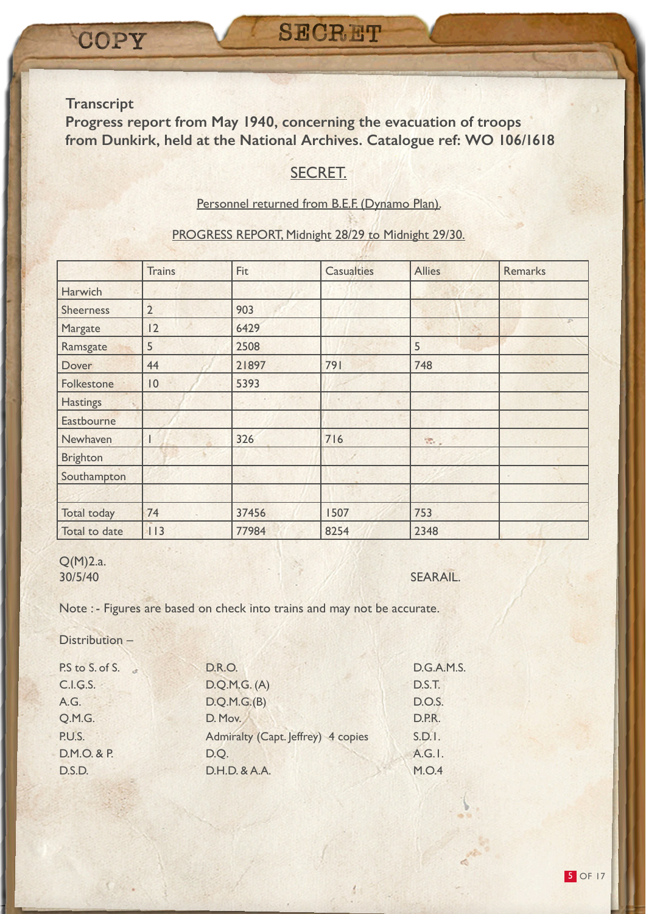**Progress report from May 1940, concerning the evacuation of troops from Dunkirk, held at the National Archives. Catalogue ref: WO 106/1618**

# SECRET.

# Personnel returned from B.E.F. (Dynamo Plan).

## PROGRESS REPORT, Midnight 28/29 to Midnight 29/30.

|                  | <b>Trains</b>  | Fit   | <b>Casualties</b> | <b>Allies</b>                           | <b>Remarks</b> |
|------------------|----------------|-------|-------------------|-----------------------------------------|----------------|
| Harwich          |                |       |                   |                                         |                |
| <b>Sheerness</b> | $\overline{2}$ | 903   |                   |                                         |                |
| Margate          | 12             | 6429  |                   |                                         |                |
| Ramsgate         | 5              | 2508  |                   | 5                                       |                |
| Dover            | 44             | 21897 | 791               | 748                                     |                |
| Folkestone       | 0              | 5393  |                   |                                         |                |
| <b>Hastings</b>  |                |       |                   |                                         |                |
| Eastbourne       |                |       |                   |                                         |                |
| Newhaven         |                | 326   | 716               | $\mathcal{R}_{\mathcal{F},\mathcal{F}}$ |                |
| <b>Brighton</b>  |                |       |                   |                                         |                |
| Southampton      |                |       |                   |                                         |                |
|                  |                |       |                   |                                         |                |
| Total today      | 74             | 37456 | 1507              | 753                                     |                |
| Total to date    | 113            | 77984 | 8254              | 2348                                    |                |

#### Q(M)2.a. 30/5/40 SEARAIL.

Note : - Figures are based on check into trains and may not be accurate.

Distribution –

| P.S to S. of S. | <b>D.R.O.</b>                      | <b>D.G.A.M.S.</b> |
|-----------------|------------------------------------|-------------------|
| C.I.G.S.        | D.Q.M.G. (A)                       | D.S.T.            |
| A.G.            | D.Q.M.G.(B)                        | D.O.S.            |
| Q.M.G.          | D. Mov.                            | D.P.R.            |
| P.U.S.          | Admiralty (Capt. Jeffrey) 4 copies | S.D.1.            |
| D.M.O. & P.     | D.O.                               | A.G.I.            |
| D.S.D.          | D.H.D. & A.A.                      | M.O.4             |
|                 |                                    |                   |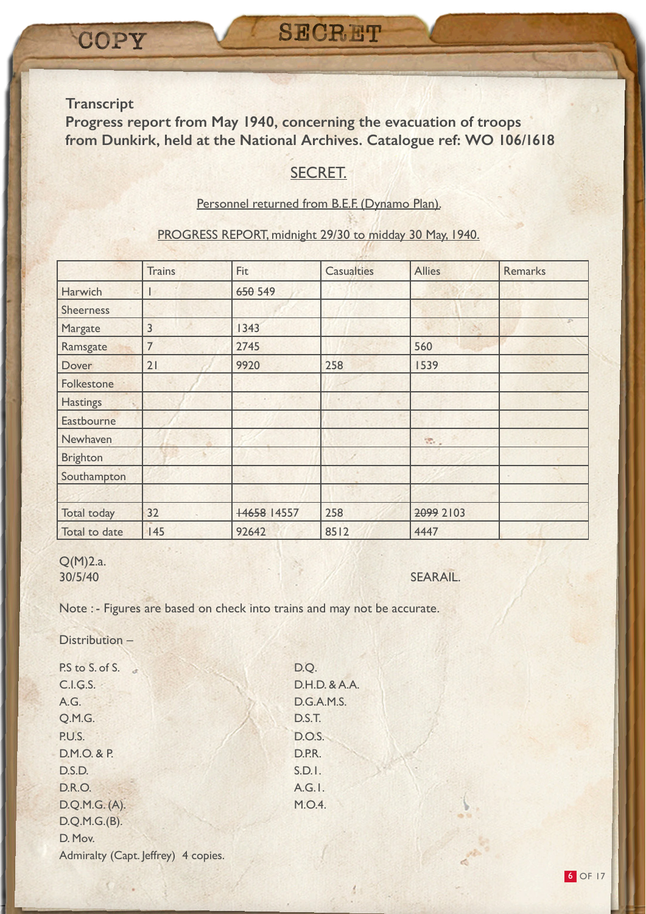**Progress report from May 1940, concerning the evacuation of troops from Dunkirk, held at the National Archives. Catalogue ref: WO 106/1618**

# SECRET.

#### Personnel returned from B.E.F. (Dynamo Plan).

#### PROGRESS REPORT, midnight 29/30 to midday 30 May, 1940.

|                    | <b>Trains</b> | Fit         | <b>Casualties</b> | <b>Allies</b>                 | <b>Remarks</b> |
|--------------------|---------------|-------------|-------------------|-------------------------------|----------------|
| Harwich            |               | 650 549     |                   |                               |                |
| <b>Sheerness</b>   |               |             |                   |                               |                |
| Margate            | 3             | 1343        |                   |                               |                |
| Ramsgate           | 7             | 2745        |                   | 560                           |                |
| Dover              | 21            | 9920        | 258               | 1539                          |                |
| Folkestone         |               |             |                   |                               |                |
| <b>Hastings</b>    |               |             |                   |                               |                |
| Eastbourne         |               |             |                   |                               |                |
| Newhaven           |               |             |                   | $\mathfrak{B}_{\mathbb{Z}_2}$ |                |
| <b>Brighton</b>    |               |             |                   |                               |                |
| Southampton        |               |             |                   |                               |                |
|                    |               |             |                   |                               |                |
| <b>Total today</b> | 32            | +4658 14557 | 258               | 2099 2103                     |                |
| Total to date      | 145           | 92642       | 8512              | 4447                          |                |

# Q(M)2.a.

#### 30/5/40 SEARAIL.

Note : - Figures are based on check into trains and may not be accurate.

Distribution –

P.S to S. of S. D.Q. C.I.G.S. D.H.D. & A.A. A.G. D.G.A.M.S. Q.M.G. D.S.T. P.U.S. D.O.S. D.M.O. & P. D.P.R. D.S.D. S.D.I. D.R.O. A.G.I. D.Q.M.G. (A). M.O.4. D.Q.M.G.(B). D. Mov. Admiralty (Capt. Jeffrey) 4 copies.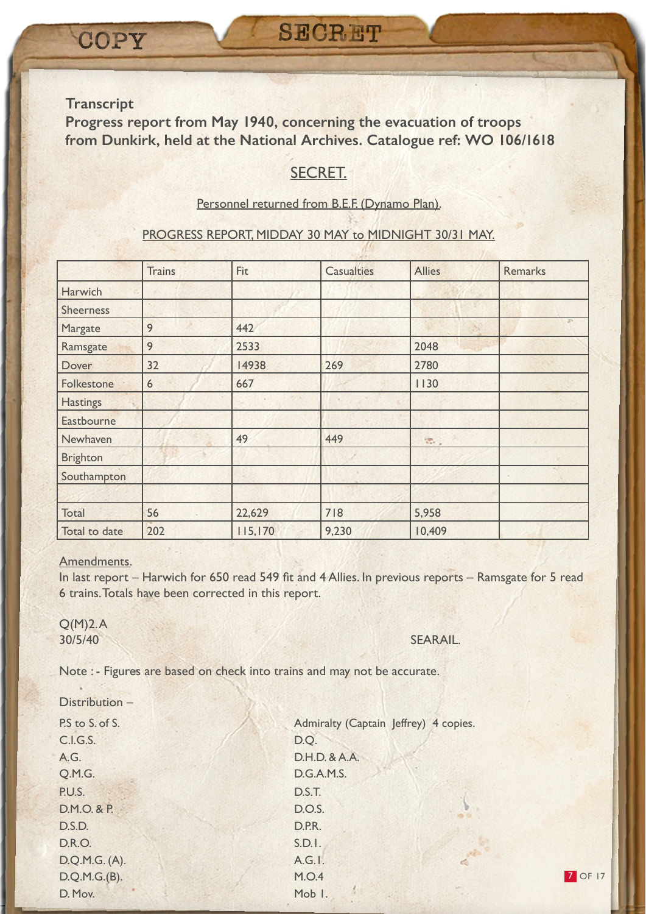**Progress report from May 1940, concerning the evacuation of troops from Dunkirk, held at the National Archives. Catalogue ref: WO 106/1618**

# SECRET.

#### Personnel returned from B.E.F. (Dynamo Plan).

#### PROGRESS REPORT, MIDDAY 30 MAY to MIDNIGHT 30/31 MAY.

|                  | <b>Trains</b> | Fit     | <b>Casualties</b> | <b>Allies</b>                 | <b>Remarks</b> |
|------------------|---------------|---------|-------------------|-------------------------------|----------------|
| Harwich          |               |         |                   |                               |                |
| <b>Sheerness</b> |               |         |                   |                               |                |
| Margate          | 9             | 442     |                   |                               |                |
| Ramsgate         | 9             | 2533    |                   | 2048                          |                |
| Dover            | 32            | 14938   | 269               | 2780                          |                |
| Folkestone       | 6             | 667     |                   | 1130                          |                |
| <b>Hastings</b>  |               |         |                   |                               |                |
| Eastbourne       |               |         |                   |                               |                |
| Newhaven         |               | 49      | 449               | $\mathfrak{B}_{\mathbb{Z}_2}$ |                |
| <b>Brighton</b>  |               |         |                   |                               |                |
| Southampton      |               |         |                   |                               |                |
|                  |               |         |                   |                               |                |
| Total            | 56            | 22,629  | 718               | 5,958                         |                |
| Total to date    | 202           | 115,170 | 9,230             | 10,409                        |                |

#### Amendments.

In last report – Harwich for 650 read 549 fit and 4 Allies. In previous reports – Ramsgate for 5 read 6 trains. Totals have been corrected in this report.

 $Q(M)2.A$ 

#### 30/5/40 SEARAIL.

Note : - Figures are based on check into trains and may not be accurate.

| Distribution -  |                                       |
|-----------------|---------------------------------------|
| P.S to S. of S. | Admiralty (Captain Jeffrey) 4 copies. |
| C.I.G.S.        | D.Q.                                  |
| A.G.            | D.H.D. & A.A.                         |
| Q.M.G.          | D.G.A.M.S.                            |
| P.U.S.          | D.S.T.                                |
| D.M.O. & P.     | D.O.S.                                |
| D.S.D.          | D.P.R.                                |
| <b>D.R.O.</b>   | S.D.I.                                |
| D.Q.M.G. (A).   | A.G.I.                                |
| D.Q.M.G.(B).    | M.O.4                                 |
| D. Mov.         | Mob I.                                |

**7 OF 17**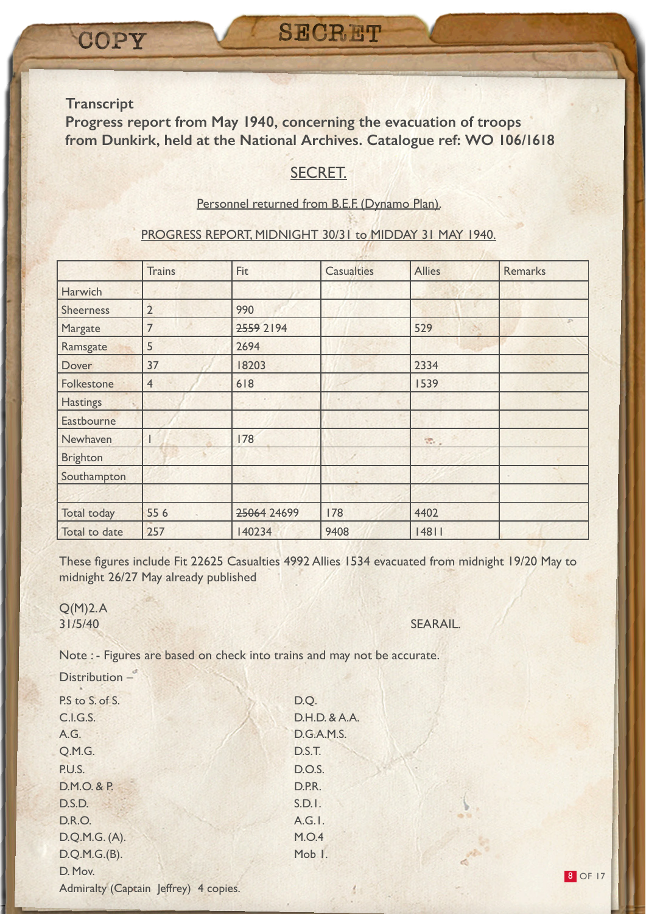**Progress report from May 1940, concerning the evacuation of troops from Dunkirk, held at the National Archives. Catalogue ref: WO 106/1618**

# SECRET.

#### Personnel returned from B.E.F. (Dynamo Plan).

#### PROGRESS REPORT, MIDNIGHT 30/31 to MIDDAY 31 MAY 1940.

|                    | <b>Trains</b>  | Fit         | <b>Casualties</b> | <b>Allies</b>               | Remarks |
|--------------------|----------------|-------------|-------------------|-----------------------------|---------|
| Harwich            |                |             |                   |                             |         |
| <b>Sheerness</b>   | $\overline{2}$ | 990         |                   |                             |         |
| Margate            | 7              | 2559 2194   |                   | 529                         |         |
| Ramsgate           | 5              | 2694        |                   |                             |         |
| Dover              | 37             | 18203       |                   | 2334                        |         |
| Folkestone         | $\overline{4}$ | 618         |                   | 1539                        |         |
| <b>Hastings</b>    |                |             |                   |                             |         |
| Eastbourne         |                |             |                   |                             |         |
| Newhaven           |                | 178         |                   | $\mathcal{R}_{\mathcal{C}}$ |         |
| <b>Brighton</b>    |                |             |                   |                             |         |
| Southampton        |                |             |                   |                             |         |
|                    |                |             |                   |                             |         |
| <b>Total today</b> | 556            | 25064 24699 | 178               | 4402                        |         |
| Total to date      | 257            | 140234      | 9408              | 14811                       |         |

These figures include Fit 22625 Casualties 4992 Allies 1534 evacuated from midnight 19/20 May to midnight 26/27 May already published

Q(M)2. A 31/5/40 SEARAIL.

Note : - Figures are based on check into trains and may not be accurate.

| Distribution -                        |                   |
|---------------------------------------|-------------------|
| P.S to S. of S.                       | D.Q.              |
| C.I.G.S.                              | D.H.D. & A.A.     |
| A.G.                                  | <b>D.G.A.M.S.</b> |
| Q.M.G.                                | D.S.T.            |
| P.U.S.                                | <b>D.O.S.</b>     |
| D.M.O. & P.                           | D.P.R.            |
| D.S.D.                                | S.D.1.            |
| <b>D.R.O.</b>                         | $A.G.$ .          |
| D.Q.M.G. (A).                         | M.O.4             |
| D.Q.M.G.(B).                          | Mob I.            |
| D. Mov.                               |                   |
| Admiralty (Captain Jeffrey) 4 copies. |                   |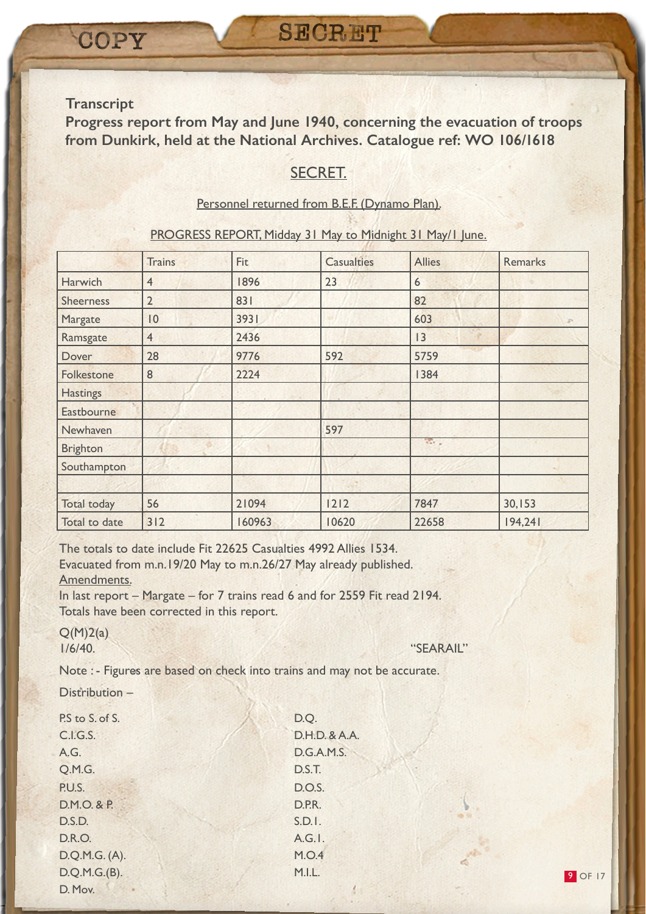**Progress report from May and June 1940, concerning the evacuation of troops from Dunkirk, held at the National Archives. Catalogue ref: WO 106/1618**

# SECRET.

#### Personnel returned from B.E.F. (Dynamo Plan).

#### PROGRESS REPORT, Midday 31 May to Midnight 31 May/1 June.

|                  | <b>Trains</b>  | Fit    | <b>Casualties</b> | <b>Allies</b> | <b>Remarks</b> |
|------------------|----------------|--------|-------------------|---------------|----------------|
| Harwich          | 4              | 1896   | 23                | 6             |                |
| <b>Sheerness</b> | $\overline{2}$ | 831    |                   | 82            |                |
| Margate          | 0              | 3931   |                   | 603           | $\mathcal{D}$  |
| Ramsgate         | $\overline{4}$ | 2436   |                   | 3             |                |
| Dover            | 28             | 9776   | 592               | 5759          |                |
| Folkestone       | 8              | 2224   |                   | 1384          |                |
| <b>Hastings</b>  |                |        |                   |               |                |
| Eastbourne       |                |        |                   |               |                |
| Newhaven         |                |        | 597               |               |                |
| <b>Brighton</b>  |                |        |                   | Ver 2         |                |
| Southampton      |                |        |                   |               |                |
|                  |                |        |                   |               |                |
| Total today      | 56             | 21094  | 1212              | 7847          | 30,153         |
| Total to date    | 312            | 160963 | 10620             | 22658         | 194,241        |

D.H.D. & A.A. D.G.A.M.S.

The totals to date include Fit 22625 Casualties 4992 Allies 1534. Evacuated from m.n.19/20 May to m.n.26/27 May already published. Amendments.

In last report – Margate – for 7 trains read 6 and for 2559 Fit read 2194. Totals have been corrected in this report.

 $Q(M)2(a)$ 

1/6/40. "SEARAIL"

Note : - Figures are based on check into trains and may not be accurate.

Distribution –

| P.S to S. of S. | D.Q.          |
|-----------------|---------------|
| C.I.G.S.        | D.H.D         |
| A.G.            | D.G.A         |
| Q.M.G.          | D.S.T.        |
| P.U.S.          | <b>D.O.S.</b> |
| D.M.O. & P.     | D.P.R.        |
| D.S.D.          | S.D.1.        |
| <b>D.R.O.</b>   | A.G.I.        |
| D.Q.M.G. (A).   | <b>M.O.4</b>  |
| D.Q.M.G.(B).    | M.I.L.        |
| D. Mov.         |               |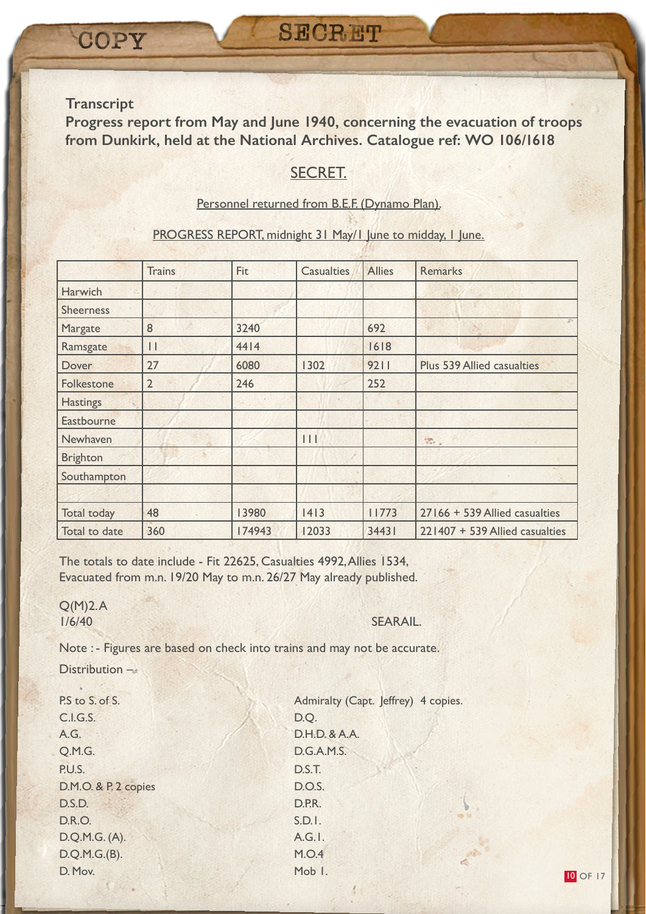**Progress report from May and June 1940, concerning the evacuation of troops from Dunkirk, held at the National Archives. Catalogue ref: WO 106/1618**

# SECRET.

#### Personnel returned from B.E.F. (Dynamo Plan).

#### PROGRESS REPORT, midnight 31 May/1 June to midday, 1 June.

|                    | <b>Trains</b>  | Fit    | <b>Casualties</b> | <b>Allies</b> | Remarks                           |
|--------------------|----------------|--------|-------------------|---------------|-----------------------------------|
| Harwich            |                |        |                   |               |                                   |
| <b>Sheerness</b>   |                |        |                   |               |                                   |
| Margate            | 8              | 3240   |                   | 692           |                                   |
| Ramsgate           | $\mathbf{I}$   | 4414   |                   | 1618          |                                   |
| Dover              | 27             | 6080   | 1302              | 9211          | <b>Plus 539 Allied casualties</b> |
| Folkestone         | $\overline{2}$ | 246    |                   | 252           |                                   |
| <b>Hastings</b>    |                |        |                   |               |                                   |
| Eastbourne         |                |        |                   |               |                                   |
| Newhaven           |                |        | 11                |               | <b>R.</b>                         |
| <b>Brighton</b>    |                |        |                   |               |                                   |
| Southampton        |                |        |                   |               |                                   |
|                    |                |        |                   |               |                                   |
| <b>Total today</b> | 48             | 13980  | 1413              | 11773         | 27166 + 539 Allied casualties     |
| Total to date      | 360            | 174943 | 12033             | 34431         | 221407 + 539 Allied casualties    |

The totals to date include - Fit 22625, Casualties 4992, Allies 1534, Evacuated from m.n. 19/20 May to m.n. 26/27 May already published.

Q(M)2. A 1/6/40 SEARAIL.

Note : - Figures are based on check into trains and may not be accurate.

Distribution –

C.I.G.S. D.Q. A.G. D.H.D. & A.A. Q.M.G. D.G.A.M.S. P.U.S. D.S.T. D.M.O. & P. 2 copies D.O.S. D.S.D. D.P.R. D.R.O. S.D.I. D.Q.M.G. (A). A.G.I. D.Q.M.G.(B). M.O.4 D. Mov. Mob 1.

P.S to S. of S. S. Admiralty (Capt. Jeffrey) 4 copies.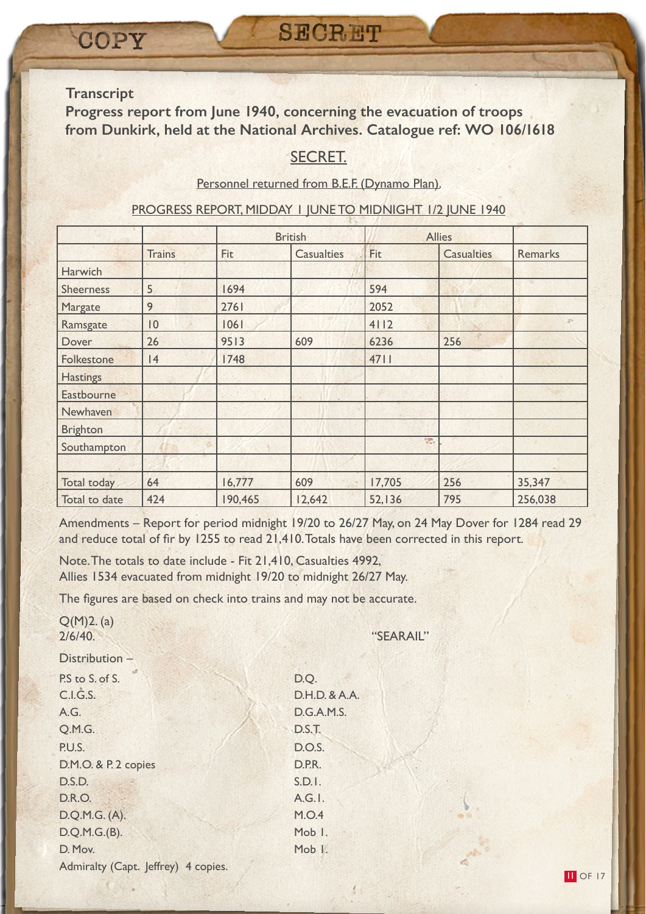**Progress report from June 1940, concerning the evacuation of troops from Dunkirk, held at the National Archives. Catalogue ref: WO 106/1618**

# SECRET.

#### Personnel returned from B.E.F. (Dynamo Plan).

#### PROGRESS REPORT, MIDDAY 1 JUNE TO MIDNIGHT 1/2 JUNE 1940

|                  |               |         | <b>British</b>    | <b>Allies</b> |                   |                |
|------------------|---------------|---------|-------------------|---------------|-------------------|----------------|
|                  | <b>Trains</b> | Fit     | <b>Casualties</b> | Fit           | <b>Casualties</b> | <b>Remarks</b> |
| Harwich          |               |         |                   |               |                   |                |
| <b>Sheerness</b> | 5             | 1694    |                   | 594           |                   |                |
| Margate          | 9             | 2761    |                   | 2052          |                   |                |
| Ramsgate         | 0             | 1061    |                   | 4112          |                   | ×              |
| Dover            | 26            | 9513    | 609               | 6236          | 256               |                |
| Folkestone       | 4             | 1748    |                   | 4711          |                   |                |
| <b>Hastings</b>  |               |         |                   |               |                   |                |
| Eastbourne       |               |         |                   |               |                   |                |
| Newhaven         |               |         |                   |               |                   |                |
| <b>Brighton</b>  |               |         |                   |               |                   |                |
| Southampton      |               |         |                   | SP.           |                   |                |
|                  |               |         |                   |               |                   |                |
| Total today      | 64            | 16,777  | 609               | 17,705        | 256               | 35,347         |
| Total to date    | 424           | 190,465 | 12,642            | 52,136        | 795               | 256,038        |

Amendments – Report for period midnight 19/20 to 26/27 May, on 24 May Dover for 1284 read 29 and reduce total of fir by 1255 to read 21,410. Totals have been corrected in this report.

Note. The totals to date include - Fit 21,410, Casualties 4992, Allies 1534 evacuated from midnight 19/20 to midnight 26/27 May.

The figures are based on check into trains and may not be accurate.

| Q(M)2. (a)<br>2/6/40.               | "SEARAIL"     |
|-------------------------------------|---------------|
| Distribution -                      |               |
| P.S to S. of S.                     | D.Q.          |
| C.I.G.S.                            | D.H.D. & A.A. |
| A.G.                                | D.G.A.M.S.    |
| Q.M.G.                              | D.S.T.        |
| P.U.S.                              | <b>D.O.S.</b> |
| D.M.O. & P. 2 copies                | D.P.R.        |
| D.S.D.                              | S.D.1.        |
| D.R.O.                              | A.G.I.        |
| D.Q.M.G. (A).                       | M.O.4         |
| D.Q.M.G.(B).                        | Mob I.        |
| D. Mov.                             | Mob I.        |
| Admiralty (Capt. Jeffrey) 4 copies. |               |

fine.

石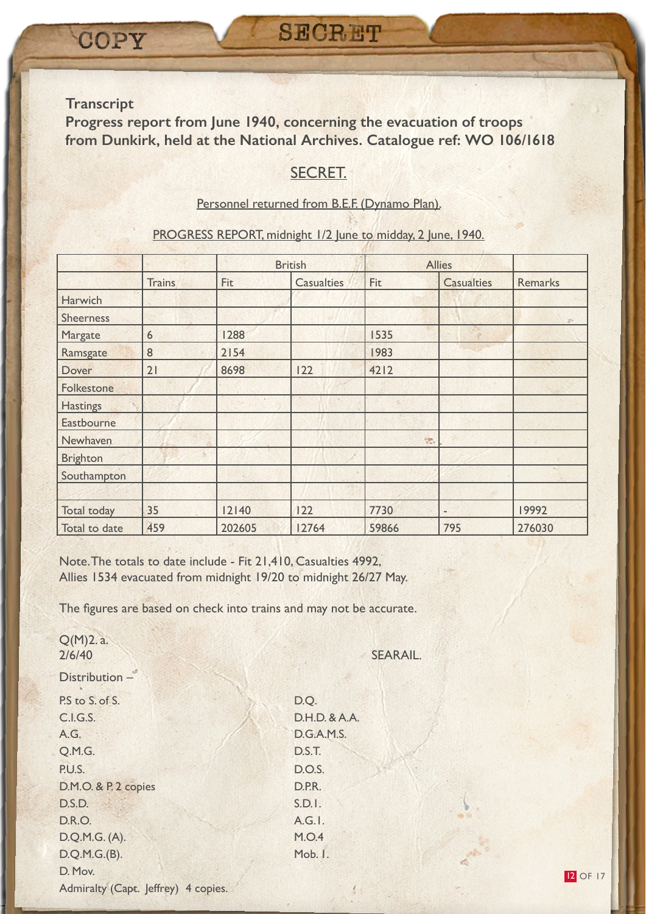**Progress report from June 1940, concerning the evacuation of troops from Dunkirk, held at the National Archives. Catalogue ref: WO 106/1618**

# SECRET.

#### Personnel returned from B.E.F. (Dynamo Plan).

#### PROGRESS REPORT, midnight 1/2 June to midday, 2 June, 1940.

|                    |               |        | <b>British</b>    |       | <b>Allies</b>            |         |
|--------------------|---------------|--------|-------------------|-------|--------------------------|---------|
|                    | <b>Trains</b> | Fit    | <b>Casualties</b> | Fit   | <b>Casualties</b>        | Remarks |
| Harwich            |               |        |                   |       |                          |         |
| <b>Sheerness</b>   |               |        |                   |       |                          | P.      |
| Margate            | 6             | 1288   |                   | 1535  |                          |         |
| Ramsgate           | 8             | 2154   |                   | 1983  |                          |         |
| Dover              | 21            | 8698   | 122               | 4212  |                          |         |
| Folkestone         |               |        |                   |       |                          |         |
| <b>Hastings</b>    |               |        |                   |       |                          |         |
| Eastbourne         |               |        |                   |       |                          |         |
| Newhaven           |               |        |                   | He.   |                          |         |
| <b>Brighton</b>    |               |        |                   |       |                          |         |
| Southampton        |               |        |                   |       |                          |         |
|                    |               |        |                   |       |                          |         |
| <b>Total today</b> | 35            | 12140  | 122               | 7730  | $\overline{\phantom{a}}$ | 19992   |
| Total to date      | 459           | 202605 | 12764             | 59866 | 795                      | 276030  |

Note. The totals to date include - Fit 21,410, Casualties 4992, Allies 1534 evacuated from midnight 19/20 to midnight 26/27 May.

The figures are based on check into trains and may not be accurate.

| $Q(M)2.$ a.<br>2/6/40               | <b>SEARAIL.</b>   |
|-------------------------------------|-------------------|
| Distribution -                      |                   |
| P.S to S. of S.                     | D.Q.              |
| C.I.G.S.                            | D.H.D. & A.A.     |
| A.G.                                | <b>D.G.A.M.S.</b> |
| Q.M.G.                              | D.S.T.            |
| P.U.S.                              | D.O.S.            |
| D.M.O. & P. 2 copies                | D.P.R.            |
| D.S.D.                              | S.D.1.            |
| <b>D.R.O.</b>                       | A.G.I.            |
| D.Q.M.G. (A).                       | M.O.4             |
| D.Q.M.G.(B).                        | Mob. I.           |
| D. Mov.                             |                   |
| Admiralty (Capt. Jeffrey) 4 copies. |                   |
|                                     |                   |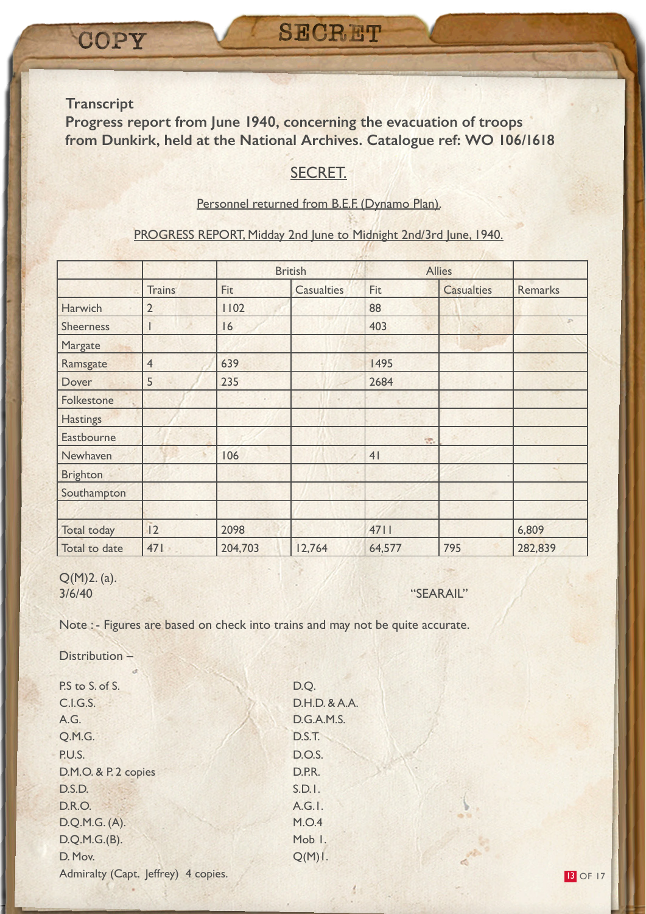**Progress report from June 1940, concerning the evacuation of troops from Dunkirk, held at the National Archives. Catalogue ref: WO 106/1618**

# SECRET.

#### Personnel returned from B.E.F. (Dynamo Plan).

#### PROGRESS REPORT, Midday 2nd June to Midnight 2nd/3rd June, 1940.

|                    |                |         | <b>British</b>    |        | <b>Allies</b>     |                |
|--------------------|----------------|---------|-------------------|--------|-------------------|----------------|
|                    | <b>Trains</b>  | Fit     | <b>Casualties</b> | Fit    | <b>Casualties</b> | <b>Remarks</b> |
| Harwich            | $\overline{2}$ | 1102    |                   | 88     |                   |                |
| <b>Sheerness</b>   |                | 16      |                   | 403    |                   |                |
| Margate            |                |         |                   |        |                   |                |
| Ramsgate           | $\overline{4}$ | 639     |                   | 1495   |                   |                |
| Dover              | 5              | 235     |                   | 2684   |                   |                |
| Folkestone         |                |         |                   |        |                   |                |
| <b>Hastings</b>    |                |         |                   |        |                   |                |
| Eastbourne         |                |         |                   | St.    |                   |                |
| Newhaven           |                | 106     |                   | 41     |                   |                |
| <b>Brighton</b>    |                |         |                   |        |                   |                |
| Southampton        |                |         |                   |        |                   |                |
|                    |                |         |                   |        |                   |                |
| <b>Total today</b> | 2              | 2098    |                   | 4711   |                   | 6,809          |
| Total to date      | 471            | 204,703 | 12,764            | 64,577 | 795               | 282,839        |

Q(M)2. (a). 3/6/40 "SEARAIL"

Note : - Figures are based on check into trains and may not be quite accurate.

Distribution –

P.S to S. of S. D.Q. C.I.G.S. D.H.D. & A.A. A.G. D.G.A.M.S. Q.M.G. D.S.T. P.U.S. D.O.S. D.M.O. & P. 2 copies D.P.R. D.S.D. S.D.I. D.R.O. A.G.I. D.Q.M.G. (A). M.O.4 D.Q.M.G.(B). Mob 1. D. Mov. Q(M)1. Admiralty (Capt. Jeffrey) 4 copies.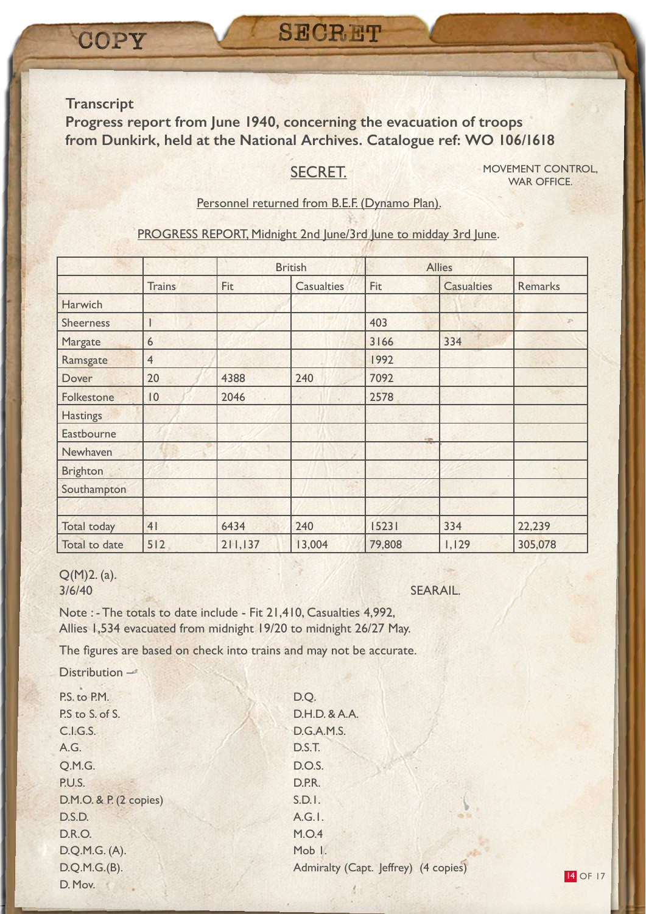**Progress report from June 1940, concerning the evacuation of troops from Dunkirk, held at the National Archives. Catalogue ref: WO 106/1618**

# SECRET.

MOVEMENT CONTROL, WAR OFFICE.

14 OF 17

#### Personnel returned from B.E.F. (Dynamo Plan).

PROGRESS REPORT, Midnight 2nd June/3rd June to midday 3rd June.

|                    |                |         | <b>British</b>    |          | <b>Allies</b>     |                |
|--------------------|----------------|---------|-------------------|----------|-------------------|----------------|
|                    | <b>Trains</b>  | Fit     | <b>Casualties</b> | Fit      | <b>Casualties</b> | <b>Remarks</b> |
| Harwich            |                |         |                   |          |                   |                |
| <b>Sheerness</b>   |                |         |                   | 403      |                   |                |
| Margate            | 6              |         |                   | 3166     | 334               |                |
| Ramsgate           | $\overline{4}$ |         |                   | 1992     |                   |                |
| Dover              | 20             | 4388    | 240               | 7092     |                   |                |
| Folkestone         | 10             | 2046    |                   | 2578     |                   |                |
| <b>Hastings</b>    |                |         |                   |          |                   |                |
| Eastbourne         |                |         |                   | in lign. |                   |                |
| Newhaven           |                |         |                   |          |                   |                |
| <b>Brighton</b>    |                |         |                   |          |                   |                |
| Southampton        |                |         |                   |          |                   |                |
|                    |                |         |                   |          |                   |                |
| <b>Total today</b> | 41             | 6434    | 240               | 15231    | 334               | 22,239         |
| Total to date      | 512            | 211,137 | 13,004            | 79,808   | 1,129             | 305,078        |

#### Q(M)2. (a). 3/6/40 SEARAIL.

Note : - The totals to date include - Fit 21,410, Casualties 4,992, Allies 1,534 evacuated from midnight 19/20 to midnight 26/27 May.

The figures are based on check into trains and may not be accurate.

Distribution –

P.S. to P.M. D.Q. P.S to S. of S. D.H.D. & A.A. C.I.G.S. D.G.A.M.S. A.G. D.S.T. Q.M.G. D.O.S. P.U.S. D.P.R. D.M.O. & P. (2 copies) S.D.I. D.S.D. A.G.1. D.R.O. M.O.4 D.Q.M.G. (A). Mob 1. D. Mov.

D.Q.M.G.(B). Admiralty (Capt. Jeffrey) (4 copies)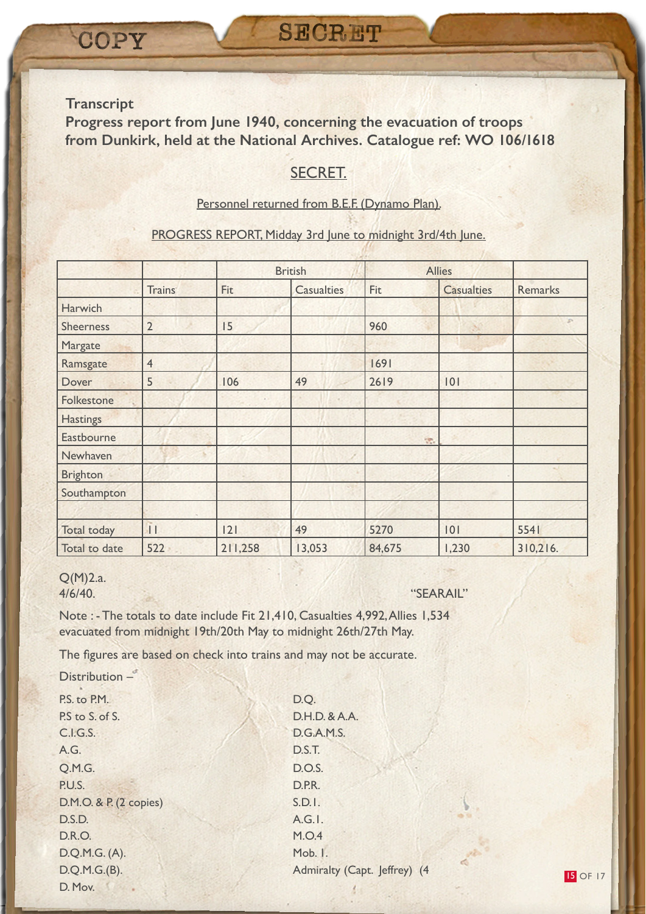**Progress report from June 1940, concerning the evacuation of troops from Dunkirk, held at the National Archives. Catalogue ref: WO 106/1618**

# SECRET.

#### Personnel returned from B.E.F. (Dynamo Plan).

#### PROGRESS REPORT, Midday 3rd June to midnight 3rd/4th June.

|                    |                 | <b>British</b> |                   |        | <b>Allies</b>     |                |
|--------------------|-----------------|----------------|-------------------|--------|-------------------|----------------|
|                    | <b>Trains</b>   | Fit            | <b>Casualties</b> | Fit    | <b>Casualties</b> | <b>Remarks</b> |
| Harwich            |                 |                |                   |        |                   |                |
| <b>Sheerness</b>   | $\overline{2}$  | 15             |                   | 960    |                   |                |
| Margate            |                 |                |                   |        |                   |                |
| Ramsgate           | $\overline{4}$  |                |                   | 1691   |                   |                |
| Dover              | 5               | 106            | 49                | 2619   | 0                 |                |
| Folkestone         |                 |                |                   |        |                   |                |
| <b>Hastings</b>    |                 |                |                   |        |                   |                |
| Eastbourne         |                 |                |                   | He.    |                   |                |
| Newhaven           |                 |                |                   |        |                   |                |
| <b>Brighton</b>    |                 |                |                   |        |                   |                |
| Southampton        |                 |                |                   |        |                   |                |
|                    |                 |                |                   |        |                   |                |
| <b>Total today</b> | $\vert$ $\vert$ | 2              | 49                | 5270   | 0                 | 5541           |
| Total to date      | 522             | 211,258        | 13,053            | 84,675 | 1,230             | 310,216.       |

# Q(M)2.a.

4/6/40. "SEARAIL"

Note : - The totals to date include Fit 21,410, Casualties 4,992, Allies 1,534 evacuated from midnight 19th/20th May to midnight 26th/27th May.

The figures are based on check into trains and may not be accurate.

P.S. to P.M. D.O. P.S to S. of S. Case of S. D.H.D. & A.A. C.I.G.S. D.G.A.M.S. A.G. D.S.T. Q.M.G. D.O.S. P.U.S. D.P.R. D.M.O. & P. (2 copies) S.D.I. D.S.D. A.G.1. D.R.O. M.O.4 D.Q.M.G. (A). Mob. 1. D. Mov. Distribution –

D.Q.M.G.(B). Admiralty (Capt. Jeffrey) (4

**15 OF 17**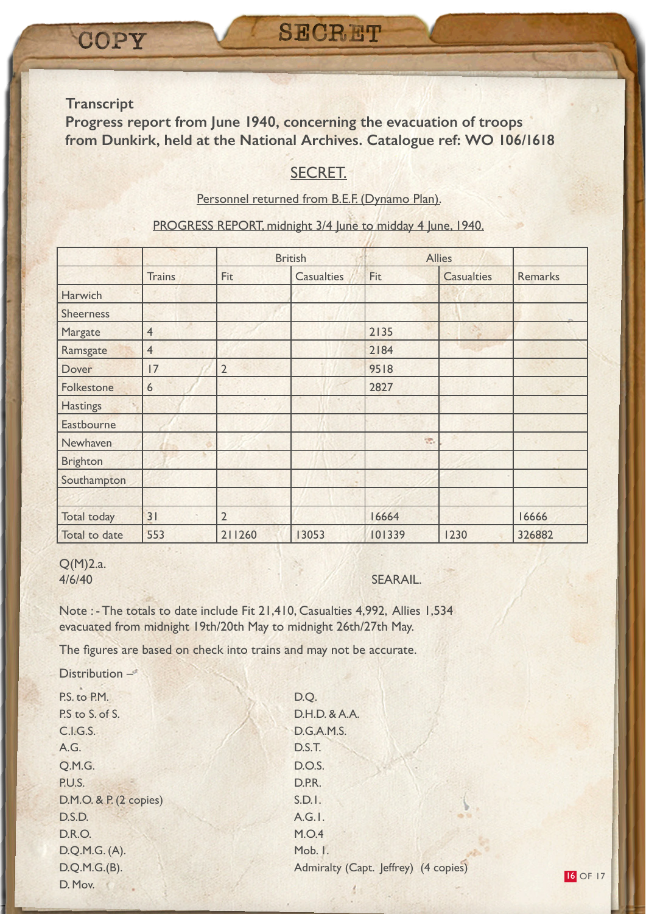**Progress report from June 1940, concerning the evacuation of troops from Dunkirk, held at the National Archives. Catalogue ref: WO 106/1618**

# SECRET.

Personnel returned from B.E.F. (Dynamo Plan).

PROGRESS REPORT, midnight 3/4 June to midday 4 June, 1940.

|                    |                |                | <b>British</b>    |        | <b>Allies</b>     |         |
|--------------------|----------------|----------------|-------------------|--------|-------------------|---------|
|                    | <b>Trains</b>  | Fit            | <b>Casualties</b> | Fit    | <b>Casualties</b> | Remarks |
| Harwich            |                |                |                   |        |                   |         |
| <b>Sheerness</b>   |                |                |                   |        |                   |         |
| Margate            | $\overline{4}$ |                |                   | 2135   |                   |         |
| Ramsgate           | $\overline{4}$ |                |                   | 2184   |                   |         |
| Dover              | 17             | $\overline{2}$ |                   | 9518   |                   |         |
| Folkestone         | 6              |                |                   | 2827   |                   |         |
| <b>Hastings</b>    |                |                |                   |        |                   |         |
| Eastbourne         |                |                |                   |        |                   |         |
| Newhaven           |                |                |                   | SP.    |                   |         |
| <b>Brighton</b>    |                |                |                   |        |                   |         |
| Southampton        |                |                |                   |        |                   |         |
|                    |                |                |                   |        |                   |         |
| <b>Total today</b> | 31             | $\overline{2}$ |                   | 16664  |                   | 16666   |
| Total to date      | 553            | 211260         | 13053             | 101339 | 1230              | 326882  |

#### Q(M)2.a. 4/6/40 SEARAIL.

Note : - The totals to date include Fit 21,410, Casualties 4,992, Allies 1,534 evacuated from midnight 19th/20th May to midnight 26th/27th May.

The figures are based on check into trains and may not be accurate.

Distribution –

P.S. to P.M. D.O. P.S to S. of S. Case of S. D.H.D. & A.A. C.I.G.S. D.G.A.M.S. A.G. D.S.T. Q.M.G. D.O.S. P.U.S. D.P.R. D.M.O. & P. (2 copies) S.D.I. D.S.D. A.G.1. D.R.O. M.O.4 D.Q.M.G. (A). Mob. 1. D. Mov.

D.Q.M.G.(B). Admiralty (Capt. Jeffrey) (4 copies)

16 OF 17